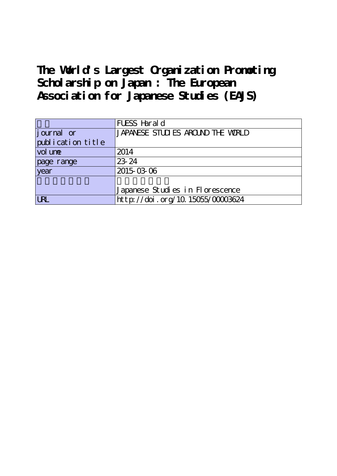## **The World's Largest Organization Promoting Scholarship on Japan : The European Association for Japanese Studies (EAJS)**

|                     | FUESS Harald                      |  |  |
|---------------------|-----------------------------------|--|--|
| journal or          | JAPANESE STUDIES AROUND THE WORLD |  |  |
| publication title   |                                   |  |  |
| vol un <del>e</del> | 2014                              |  |  |
| page range          | 23-24                             |  |  |
| vear                | 2015-03-06                        |  |  |
|                     |                                   |  |  |
|                     | Japanese Studies in Florescence   |  |  |
| <b>LRL</b>          | http://doi.org/10.15055/00003624  |  |  |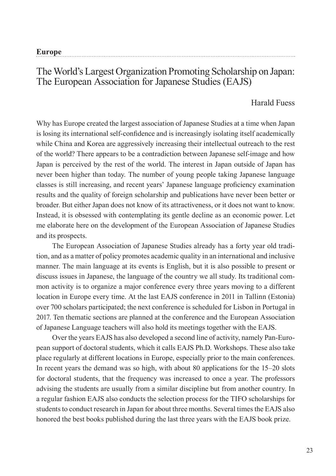| Europe |  |  |
|--------|--|--|
|        |  |  |

## The World's Largest Organization Promoting Scholarship on Japan: The European Association for Japanese Studies (EAJS)

## Harald Fuess

Why has Europe created the largest association of Japanese Studies at a time when Japan is losing its international self-confidence and is increasingly isolating itself academically while China and Korea are aggressively increasing their intellectual outreach to the rest of the world? There appears to be a contradiction between Japanese self-image and how Japan is perceived by the rest of the world. The interest in Japan outside of Japan has never been higher than today. The number of young people taking Japanese language classes is still increasing, and recent years' Japanese language proficiency examination results and the quality of foreign scholarship and publications have never been better or broader. But either Japan does not know of its attractiveness, or it does not want to know. Instead, it is obsessed with contemplating its gentle decline as an economic power. Let me elaborate here on the development of the European Association of Japanese Studies and its prospects.

The European Association of Japanese Studies already has a forty year old tradition, and as a matter of policy promotes academic quality in an international and inclusive manner. The main language at its events is English, but it is also possible to present or discuss issues in Japanese, the language of the country we all study. Its traditional common activity is to organize a major conference every three years moving to a different location in Europe every time. At the last EAJS conference in 2011 in Tallinn (Estonia) over 700 scholars participated; the next conference is scheduled for Lisbon in Portugal in 2017. Ten thematic sections are planned at the conference and the European Association of Japanese Language teachers will also hold its meetings together with the EAJS.

Over the years EAJS has also developed a second line of activity, namely Pan-European support of doctoral students, which it calls EAJS Ph.D. Workshops. These also take place regularly at different locations in Europe, especially prior to the main conferences. In recent years the demand was so high, with about 80 applications for the 15–20 slots for doctoral students, that the frequency was increased to once a year. The professors advising the students are usually from a similar discipline but from another country. In a regular fashion EAJS also conducts the selection process for the TIFO scholarships for students to conduct research in Japan for about three months. Several times the EAJS also honored the best books published during the last three years with the EAJS book prize.